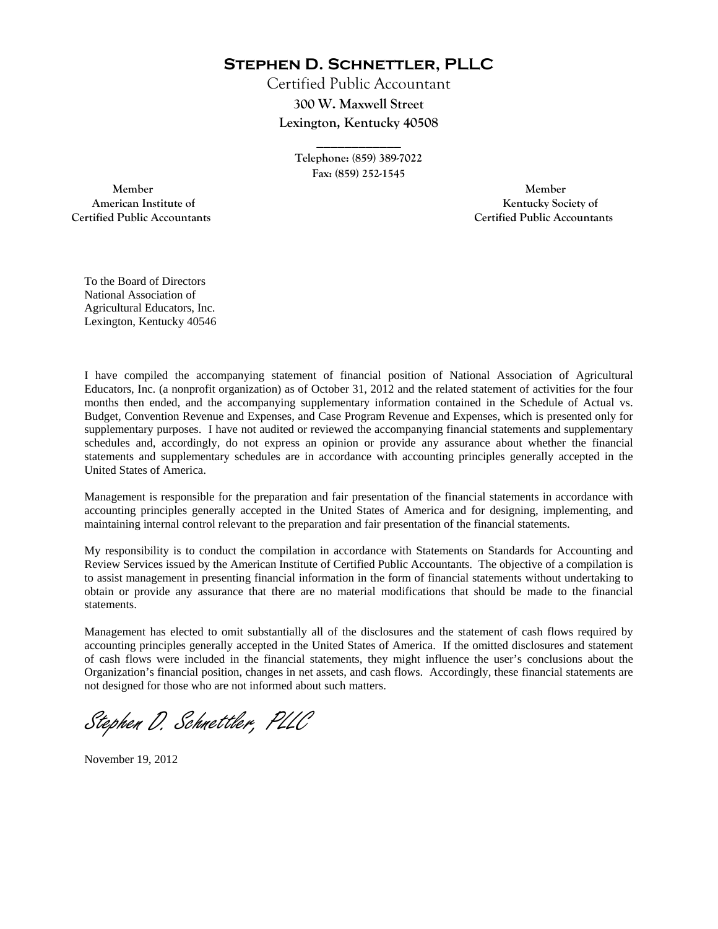**Stephen D. Schnettler, PLLC**

Certified Public Accountant **300 W. Maxwell Street Lexington, Kentucky 40508** 

> **Telephone: (859) 389-7022 Fax: (859) 252-1545**

**\_\_\_\_\_\_\_\_\_\_\_\_** 

 **Member Member Certified Public Accountants Certified Public Accountants** 

American Institute of **Kentucky Society of American Institute of** 

To the Board of Directors National Association of Agricultural Educators, Inc. Lexington, Kentucky 40546

I have compiled the accompanying statement of financial position of National Association of Agricultural Educators, Inc. (a nonprofit organization) as of October 31, 2012 and the related statement of activities for the four months then ended, and the accompanying supplementary information contained in the Schedule of Actual vs. Budget, Convention Revenue and Expenses, and Case Program Revenue and Expenses, which is presented only for supplementary purposes. I have not audited or reviewed the accompanying financial statements and supplementary schedules and, accordingly, do not express an opinion or provide any assurance about whether the financial statements and supplementary schedules are in accordance with accounting principles generally accepted in the United States of America.

Management is responsible for the preparation and fair presentation of the financial statements in accordance with accounting principles generally accepted in the United States of America and for designing, implementing, and maintaining internal control relevant to the preparation and fair presentation of the financial statements.

My responsibility is to conduct the compilation in accordance with Statements on Standards for Accounting and Review Services issued by the American Institute of Certified Public Accountants. The objective of a compilation is to assist management in presenting financial information in the form of financial statements without undertaking to obtain or provide any assurance that there are no material modifications that should be made to the financial statements.

Management has elected to omit substantially all of the disclosures and the statement of cash flows required by accounting principles generally accepted in the United States of America. If the omitted disclosures and statement of cash flows were included in the financial statements, they might influence the user's conclusions about the Organization's financial position, changes in net assets, and cash flows. Accordingly, these financial statements are not designed for those who are not informed about such matters.

Stephen D. Schnettler, PLLC

November 19, 2012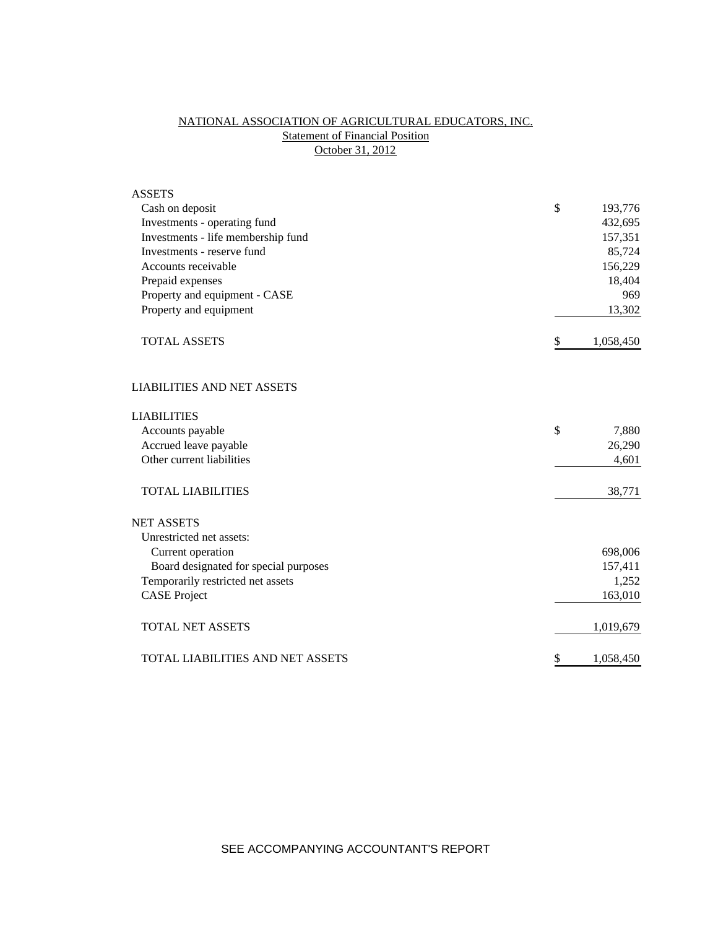# NATIONAL ASSOCIATION OF AGRICULTURAL EDUCATORS, INC. **Statement of Financial Position** October 31, 2012

| <b>ASSETS</b>                         |                 |
|---------------------------------------|-----------------|
| Cash on deposit                       | \$<br>193,776   |
| Investments - operating fund          | 432,695         |
| Investments - life membership fund    | 157,351         |
| Investments - reserve fund            | 85,724          |
| Accounts receivable                   | 156,229         |
| Prepaid expenses                      | 18,404          |
| Property and equipment - CASE         | 969             |
| Property and equipment                | 13,302          |
| <b>TOTAL ASSETS</b>                   | \$<br>1,058,450 |
| <b>LIABILITIES AND NET ASSETS</b>     |                 |
| <b>LIABILITIES</b>                    |                 |
| Accounts payable                      | \$<br>7,880     |
| Accrued leave payable                 | 26,290          |
| Other current liabilities             | 4,601           |
| <b>TOTAL LIABILITIES</b>              | 38,771          |
| <b>NET ASSETS</b>                     |                 |
| Unrestricted net assets:              |                 |
| Current operation                     | 698,006         |
| Board designated for special purposes | 157,411         |
| Temporarily restricted net assets     | 1,252           |
| <b>CASE Project</b>                   | 163,010         |
| <b>TOTAL NET ASSETS</b>               | 1,019,679       |
| TOTAL LIABILITIES AND NET ASSETS      | \$<br>1,058,450 |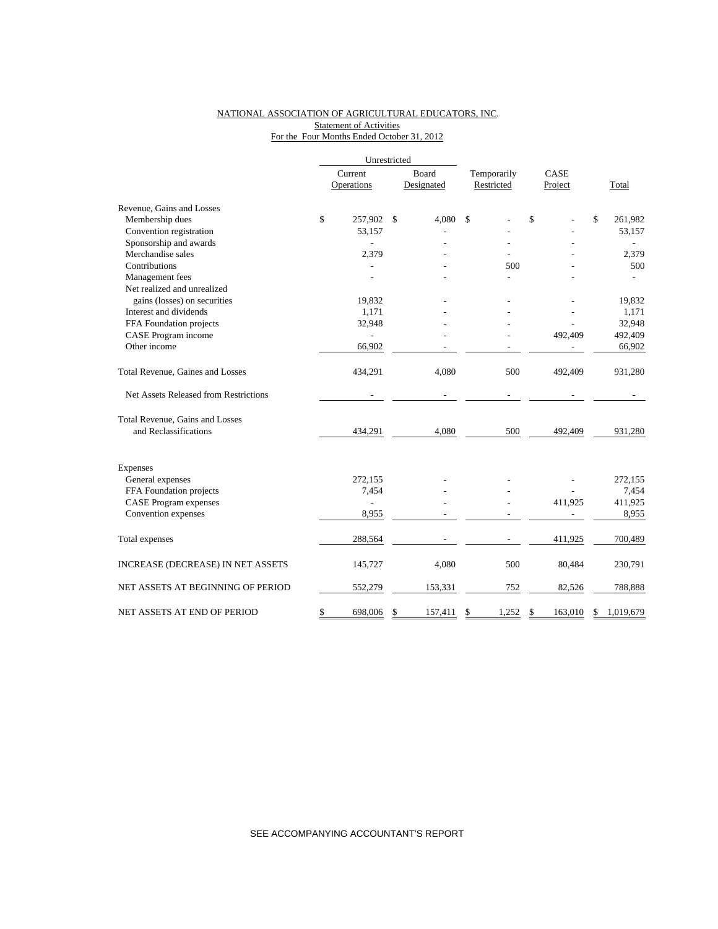### NATIONAL ASSOCIATION OF AGRICULTURAL EDUCATORS, INC. **Statement of Activities** For the Four Months Ended October 31, 2012

|                                       | Unrestricted             |               |                           |    |                 |    |           |
|---------------------------------------|--------------------------|---------------|---------------------------|----|-----------------|----|-----------|
|                                       | Current                  | Board         | Temporarily<br>Restricted |    | CASE<br>Project |    |           |
|                                       | Operations               | Designated    |                           |    |                 |    | Total     |
| Revenue, Gains and Losses             |                          |               |                           |    |                 |    |           |
| Membership dues                       | \$<br>257,902            | \$<br>4,080   | \$                        | \$ |                 | \$ | 261,982   |
| Convention registration               | 53,157                   |               |                           |    |                 |    | 53,157    |
| Sponsorship and awards                |                          |               |                           |    |                 |    |           |
| Merchandise sales                     | 2,379                    |               |                           |    |                 |    | 2,379     |
| Contributions                         |                          |               | 500                       |    |                 |    | 500       |
| Management fees                       |                          |               |                           |    |                 |    |           |
| Net realized and unrealized           |                          |               |                           |    |                 |    |           |
| gains (losses) on securities          | 19,832                   |               |                           |    |                 |    | 19,832    |
| Interest and dividends                | 1,171                    |               |                           |    |                 |    | 1,171     |
| FFA Foundation projects               | 32,948                   |               |                           |    |                 |    | 32,948    |
| CASE Program income                   |                          |               |                           |    | 492,409         |    | 492,409   |
| Other income                          | 66,902                   |               |                           |    |                 |    | 66,902    |
| Total Revenue, Gaines and Losses      | 434,291                  | 4,080         | 500                       |    | 492,409         |    | 931,280   |
| Net Assets Released from Restrictions |                          |               |                           |    |                 |    |           |
| Total Revenue, Gains and Losses       |                          |               |                           |    |                 |    |           |
| and Reclassifications                 | 434,291                  | 4,080         | 500                       |    | 492,409         |    | 931,280   |
| Expenses                              |                          |               |                           |    |                 |    |           |
| General expenses                      | 272,155                  |               |                           |    |                 |    | 272,155   |
| FFA Foundation projects               | 7,454                    |               |                           |    |                 |    | 7,454     |
| <b>CASE Program expenses</b>          | $\overline{\phantom{0}}$ |               |                           |    | 411,925         |    | 411,925   |
| Convention expenses                   | 8,955                    |               |                           |    |                 |    | 8,955     |
| Total expenses                        | 288,564                  |               |                           |    | 411,925         |    | 700,489   |
| INCREASE (DECREASE) IN NET ASSETS     | 145,727                  | 4,080         | 500                       |    | 80,484          |    | 230,791   |
| NET ASSETS AT BEGINNING OF PERIOD     | 552,279                  | 153,331       | 752                       |    | 82,526          |    | 788,888   |
| NET ASSETS AT END OF PERIOD           | \$<br>698,006            | \$<br>157,411 | \$<br>1,252               | \$ | 163,010         | \$ | 1,019,679 |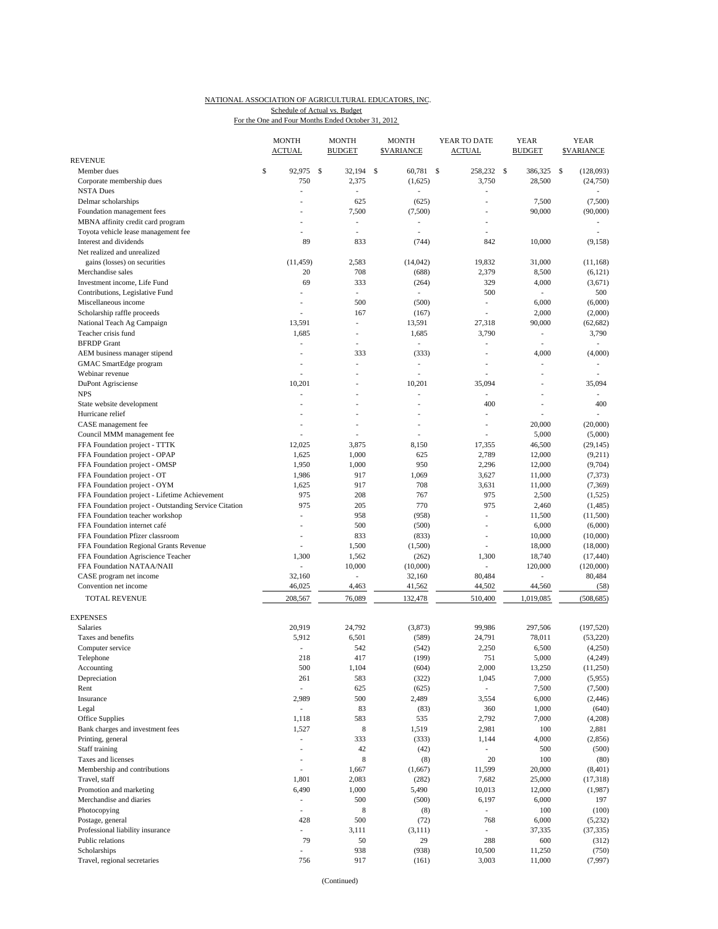### NATIONAL ASSOCIATION OF AGRICULTURAL EDUCATORS, INC. For the One and Four Months Ended October 31, 2012 Schedule of Actual vs. Budget

|                                                       | <b>MONTH</b><br><b>ACTUAL</b> | MONTH<br><b>BUDGET</b>   | MONTH<br><b>\$VARIANCE</b> | YEAR TO DATE<br><b>ACTUAL</b> | YEAR<br><b>BUDGET</b>    | YEAR<br><b>SVARIANCE</b> |
|-------------------------------------------------------|-------------------------------|--------------------------|----------------------------|-------------------------------|--------------------------|--------------------------|
| <b>REVENUE</b>                                        |                               |                          |                            |                               |                          |                          |
| Member dues                                           | \$<br>92,975                  | \$<br>32.194             | \$<br>60,781               | \$<br>258,232                 | $\mathcal{S}$<br>386,325 | \$<br>(128,093)          |
| Corporate membership dues                             | 750                           | 2,375                    | (1,625)                    | 3,750                         | 28,500                   | (24,750)                 |
| <b>NSTA Dues</b>                                      | Ĭ.                            | ÷,                       |                            |                               |                          |                          |
| Delmar scholarships                                   | ÷,                            | 625                      | (625)                      | ä,                            | 7,500                    | (7,500)                  |
| Foundation management fees                            |                               | 7,500                    | (7,500)                    | $\overline{a}$                | 90,000                   | (90,000)                 |
| MBNA affinity credit card program                     |                               | ٠                        | $\overline{a}$             |                               |                          |                          |
| Toyota vehicle lease management fee                   |                               | $\overline{\phantom{a}}$ | $\overline{a}$             |                               |                          |                          |
| Interest and dividends                                | 89                            | 833                      | (744)                      | 842                           | 10,000                   | (9, 158)                 |
| Net realized and unrealized                           |                               |                          |                            |                               |                          |                          |
| gains (losses) on securities                          | (11, 459)                     | 2,583                    | (14, 042)                  | 19,832                        | 31,000                   | (11, 168)                |
| Merchandise sales                                     | 20                            | 708                      | (688)                      | 2,379                         | 8,500                    | (6,121)                  |
| Investment income, Life Fund                          | 69                            | 333                      | (264)                      | 329                           | 4,000                    | (3,671)                  |
| Contributions, Legislative Fund                       | L,                            | ×.                       | ٠                          | 500                           | ٠                        | 500                      |
| Miscellaneous income                                  | Ĭ.                            | 500                      | (500)                      | L,                            | 6,000                    | (6,000)                  |
| Scholarship raffle proceeds                           | J.                            | 167                      | (167)                      |                               | 2,000                    | (2,000)                  |
| National Teach Ag Campaign                            | 13,591                        | $\sim$                   | 13,591                     | 27,318                        | 90,000                   | (62, 682)                |
| Teacher crisis fund                                   | 1,685                         | ٠                        | 1,685                      | 3,790                         | $\overline{\phantom{a}}$ | 3,790                    |
| <b>BFRDP</b> Grant                                    | J.                            |                          | ä,                         |                               | $\overline{\phantom{a}}$ | ÷.                       |
| AEM business manager stipend                          |                               | 333                      | (333)                      |                               | 4,000                    | (4,000)                  |
| GMAC SmartEdge program                                | ٠                             | ٠                        | L,                         | $\overline{a}$                | ÷,                       | $\overline{\phantom{a}}$ |
| Webinar revenue                                       |                               | ٠                        | L,                         |                               | ٠                        |                          |
| DuPont Agrisciense                                    | 10,201                        |                          | 10,201                     | 35,094                        |                          | 35,094                   |
| <b>NPS</b>                                            | L,                            |                          |                            |                               | $\frac{1}{2}$            |                          |
| State website development                             | ÷,                            | ÷.                       | ä,                         | 400                           | ÷,                       | 400                      |
| Hurricane relief                                      |                               | $\overline{\phantom{a}}$ | L,                         |                               |                          | $\overline{\phantom{a}}$ |
| CASE management fee                                   |                               |                          | ä,                         | ÷.                            | 20,000                   | (20,000)                 |
| Council MMM management fee                            |                               |                          |                            |                               | 5,000                    | (5,000)                  |
| FFA Foundation project - TTTK                         | 12,025                        | 3,875                    | 8,150                      | 17,355                        | 46,500                   | (29, 145)                |
| FFA Foundation project - OPAP                         | 1,625                         | 1,000                    | 625                        | 2,789                         | 12,000                   | (9,211)                  |
| FFA Foundation project - OMSP                         | 1,950                         | 1,000                    | 950                        | 2,296                         | 12,000                   | (9,704)                  |
| FFA Foundation project - OT                           | 1,986                         | 917                      | 1,069                      | 3,627                         | 11,000                   | (7, 373)                 |
| FFA Foundation project - OYM                          | 1,625                         | 917                      | 708                        | 3,631                         | 11,000                   | (7, 369)                 |
| FFA Foundation project - Lifetime Achievement         | 975                           | 208                      | 767                        | 975                           | 2,500                    | (1, 525)                 |
| FFA Foundation project - Outstanding Service Citation | 975                           | 205                      | 770                        | 975                           | 2,460                    | (1,485)                  |
| FFA Foundation teacher workshop                       | ÷,                            | 958                      | (958)                      | ÷,                            | 11,500                   | (11,500)                 |
| FFA Foundation internet café                          | Ĭ.                            | 500                      | (500)                      |                               | 6,000                    | (6,000)                  |
| FFA Foundation Pfizer classroom                       | ÷,                            | 833                      | (833)                      | $\frac{1}{2}$                 | 10,000                   | (10,000)                 |
| FFA Foundation Regional Grants Revenue                | Ĭ.                            | 1,500                    | (1,500)                    | $\overline{a}$                | 18,000                   | (18,000)                 |
| FFA Foundation Agriscience Teacher                    | 1,300                         | 1,562                    | (262)                      | 1,300                         | 18,740                   | (17, 440)                |
| FFA Foundation NATAA/NAII                             | L,                            | 10,000                   | (10,000)                   |                               | 120,000                  | (120,000)                |
| CASE program net income                               | 32,160                        | $\overline{\phantom{a}}$ | 32,160                     | 80,484                        | $\frac{1}{2}$            | 80,484                   |
| Convention net income                                 | 46,025                        | 4,463                    | 41,562                     | 44,502                        | 44,560                   | (58)                     |
| <b>TOTAL REVENUE</b>                                  | 208,567                       | 76,089                   | 132,478                    | 510,400                       | 1,019,085                | (508, 685)               |
| <b>EXPENSES</b>                                       |                               |                          |                            |                               |                          |                          |
| <b>Salaries</b>                                       | 20,919                        | 24,792                   | (3,873)                    | 99,986                        | 297,506                  | (197, 520)               |
| Taxes and benefits                                    | 5,912                         | 6,501                    | (589)                      | 24,791                        | 78,011                   | (53, 220)                |
| Computer service                                      | ÷,                            | 542                      | (542)                      | 2,250                         | 6,500                    | (4,250)                  |
| Telephone                                             | 218                           | 417                      | (199)                      | 751                           | 5,000                    | (4,249)                  |
| Accounting                                            | 500                           | 1,104                    | (604)                      | 2,000                         | 13,250                   | (11,250)                 |
| Depreciation                                          | 261                           | 583                      | (322)                      | 1,045                         | 7,000                    | (5,955)                  |
| Rent                                                  | $\overline{\phantom{a}}$      | 625                      | (625)                      | $\overline{\phantom{a}}$      | 7,500                    | (7,500)                  |
| Insurance                                             | 2,989                         | 500                      | 2,489                      | 3,554                         | 6,000                    | (2, 446)                 |
| Legal                                                 | L,                            | 83                       | (83)                       | 360                           | 1,000                    | (640)                    |
| Office Supplies                                       | 1,118                         | 583                      | 535                        | 2,792                         | 7,000                    | (4,208)                  |
| Bank charges and investment fees                      | 1,527                         | $\,$ 8 $\,$              | 1,519                      | 2,981                         | 100                      | 2,881                    |
| Printing, general                                     | $\overline{\phantom{a}}$      | 333                      | (333)                      | 1,144                         | 4,000                    | (2, 856)                 |
| Staff training                                        | Ĭ.                            | 42                       | (42)                       |                               | 500                      | (500)                    |
| Taxes and licenses                                    | $\overline{\phantom{a}}$      | 8                        | (8)                        | 20                            | 100                      | (80)                     |
| Membership and contributions                          | ÷,                            | 1,667                    | (1,667)                    | 11,599                        | 20,000                   | (8, 401)                 |
| Travel, staff                                         | 1,801                         | 2,083                    | (282)                      | 7,682                         | 25,000                   | (17, 318)                |
| Promotion and marketing                               | 6,490                         | 1,000                    | 5,490                      | 10,013                        | 12,000                   | (1,987)                  |
| Merchandise and diaries                               | $\overline{\phantom{a}}$      | 500                      | (500)                      | 6,197                         | 6,000                    | 197                      |
|                                                       | $\overline{a}$                | 8                        |                            | $\overline{\phantom{a}}$      | 100                      | (100)                    |
| Photocopying                                          | 428                           | 500                      | (8)                        | 768                           | 6,000                    |                          |
| Postage, general<br>Professional liability insurance  | $\overline{\phantom{a}}$      | 3,111                    | (72)                       |                               | 37,335                   | (5,232)<br>(37, 335)     |
| Public relations                                      | 79                            | 50                       | (3, 111)<br>29             | 288                           |                          | (312)                    |
|                                                       |                               |                          |                            |                               | 600                      |                          |
| Scholarships                                          | ÷,                            | 938                      | (938)                      | 10,500                        | 11,250                   | (750)                    |
| Travel, regional secretaries                          | 756                           | 917                      | (161)                      | 3,003                         | 11,000                   | (7, 997)                 |

(Continued)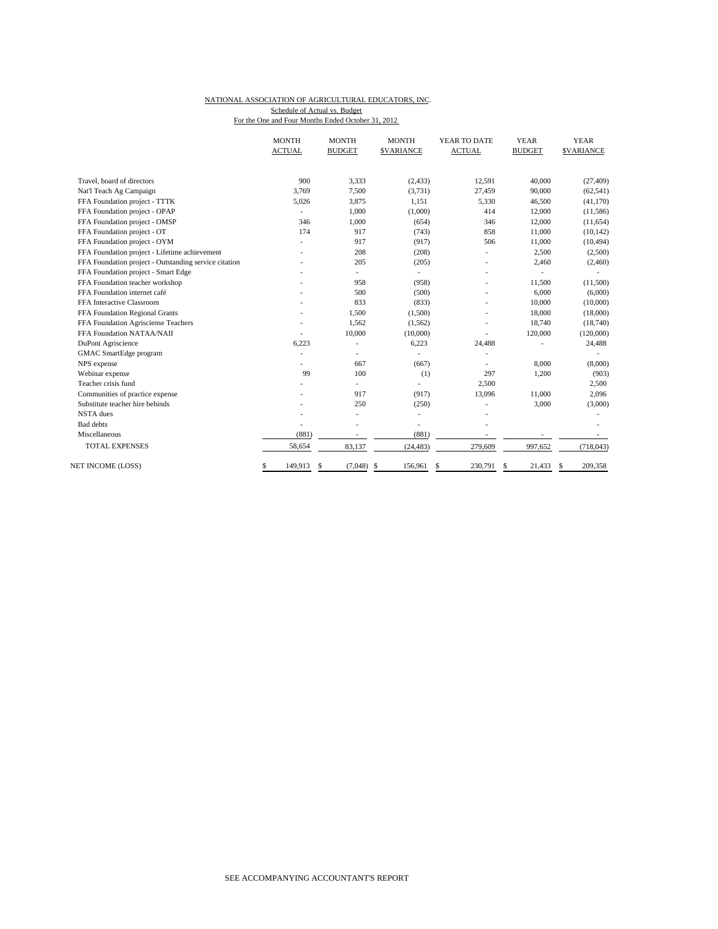# NATIONAL ASSOCIATION OF AGRICULTURAL EDUCATORS, INC. Schedule of Actual vs. Budget

|  |  | For the One and Four Months Ended October 31, 2012 |  |
|--|--|----------------------------------------------------|--|
|  |  |                                                    |  |

|                                                       | <b>MONTH</b>  | <b>MONTH</b>  | <b>MONTH</b>      | YEAR TO DATE  | <b>YEAR</b>   | <b>YEAR</b>      |
|-------------------------------------------------------|---------------|---------------|-------------------|---------------|---------------|------------------|
|                                                       | <b>ACTUAL</b> | <b>BUDGET</b> | <b>\$VARIANCE</b> | <b>ACTUAL</b> | <b>BUDGET</b> | <b>SVARIANCE</b> |
|                                                       |               |               |                   |               |               |                  |
| Travel, board of directors                            | 900           | 3,333         | (2, 433)          | 12,591        | 40,000        | (27, 409)        |
| Nat'l Teach Ag Campaign                               | 3,769         | 7,500         | (3,731)           | 27,459        | 90,000        | (62, 541)        |
| FFA Foundation project - TTTK                         | 5,026         | 3,875         | 1,151             | 5,330         | 46,500        | (41, 170)        |
| FFA Foundation project - OPAP                         |               | 1,000         | (1,000)           | 414           | 12,000        | (11,586)         |
| FFA Foundation project - OMSP                         | 346           | 1,000         | (654)             | 346           | 12,000        | (11, 654)        |
| FFA Foundation project - OT                           | 174           | 917           | (743)             | 858           | 11,000        | (10, 142)        |
| FFA Foundation project - OYM                          |               | 917           | (917)             | 506           | 11,000        | (10, 494)        |
| FFA Foundation project - Lifetime achievement         |               | 208           | (208)             |               | 2,500         | (2,500)          |
| FFA Foundation project - Outstanding service citation |               | 205           | (205)             |               | 2,460         | (2,460)          |
| FFA Foundation project - Smart Edge                   |               | ٠             | ٠                 |               |               |                  |
| FFA Foundation teacher workshop                       |               | 958           | (958)             |               | 11,500        | (11,500)         |
| FFA Foundation internet café                          |               | 500           | (500)             |               | 6,000         | (6,000)          |
| FFA Interactive Classroom                             |               | 833           | (833)             |               | 10,000        | (10,000)         |
| FFA Foundation Regional Grants                        |               | 1,500         | (1,500)           |               | 18,000        | (18,000)         |
| FFA Foundation Agrisciense Teachers                   |               | 1,562         | (1, 562)          |               | 18,740        | (18,740)         |
| FFA Foundation NATAA/NAII                             |               | 10,000        | (10,000)          |               | 120,000       | (120,000)        |
| DuPont Agriscience                                    | 6,223         |               | 6,223             | 24,488        |               | 24,488           |
| GMAC SmartEdge program                                |               | ٠             |                   |               |               |                  |
| NPS expense                                           |               | 667           | (667)             |               | 8,000         | (8,000)          |
| Webinar expense                                       | 99            | 100           | (1)               | 297           | 1,200         | (903)            |
| Teacher crisis fund                                   |               |               |                   | 2,500         |               | 2,500            |
| Communities of practice expense                       |               | 917           | (917)             | 13,096        | 11,000        | 2,096            |
| Substitute teacher hire behinds                       |               | 250           | (250)             |               | 3,000         | (3,000)          |
| <b>NSTA</b> dues                                      |               |               | ٠                 |               |               |                  |
| <b>Bad</b> debts                                      |               |               | ٠                 |               |               |                  |
| Miscellaneous                                         | (881)         |               | (881)             |               |               |                  |
| <b>TOTAL EXPENSES</b>                                 | 58,654        | 83,137        | (24, 483)         | 279,609       | 997,652       | (718, 043)       |
| NET INCOME (LOSS)                                     | \$<br>149,913 | (7,048)<br>\$ | 156,961<br>\$     | 230,791<br>\$ | 21,433<br>S   | 209,358<br>\$    |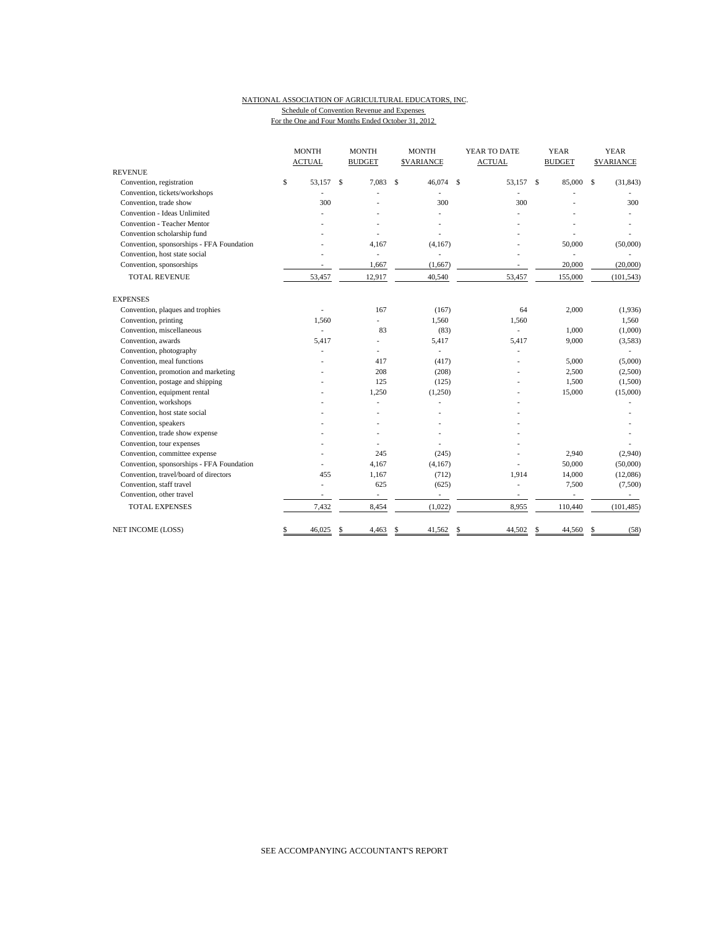#### NATIONAL ASSOCIATION OF AGRICULTURAL EDUCATORS, INC. Schedule of Convention Revenue and Expenses For the One and Four Months Ended October 31, 2012

|                                           | <b>MONTH</b><br><b>ACTUAL</b> | <b>MONTH</b><br><b>BUDGET</b> |   | <b>MONTH</b><br><b>SVARIANCE</b> |              | YEAR TO DATE<br><b>ACTUAL</b> |                    | <b>YEAR</b><br><b>BUDGET</b> | <b>YEAR</b><br><b>\$VARIANCE</b> |
|-------------------------------------------|-------------------------------|-------------------------------|---|----------------------------------|--------------|-------------------------------|--------------------|------------------------------|----------------------------------|
| <b>REVENUE</b>                            |                               |                               |   |                                  |              |                               |                    |                              |                                  |
| Convention, registration                  | \$<br>53.157                  | \$<br>7,083                   | S | 46,074                           | $\mathbf{s}$ | 53,157                        | $\mathbf{\hat{S}}$ | 85,000                       | \$<br>(31, 843)                  |
| Convention, tickets/workshops             |                               |                               |   |                                  |              |                               |                    |                              |                                  |
| Convention, trade show                    | 300                           |                               |   | 300                              |              | 300                           |                    |                              | 300                              |
| Convention - Ideas Unlimited              |                               |                               |   |                                  |              |                               |                    |                              |                                  |
| <b>Convention - Teacher Mentor</b>        |                               |                               |   |                                  |              |                               |                    |                              |                                  |
| Convention scholarship fund               |                               |                               |   |                                  |              |                               |                    |                              |                                  |
| Convention, sponsorships - FFA Foundation |                               | 4,167                         |   | (4,167)                          |              |                               |                    | 50,000                       | (50,000)                         |
| Convention, host state social             |                               | $\overline{\phantom{a}}$      |   | ä,                               |              |                               |                    | ÷,                           |                                  |
| Convention, sponsorships                  |                               | 1,667                         |   | (1,667)                          |              |                               |                    | 20,000                       | (20,000)                         |
| <b>TOTAL REVENUE</b>                      | 53,457                        | 12,917                        |   | 40,540                           |              | 53,457                        |                    | 155,000                      | (101, 543)                       |
| <b>EXPENSES</b>                           |                               |                               |   |                                  |              |                               |                    |                              |                                  |
| Convention, plaques and trophies          | ٠                             | 167                           |   | (167)                            |              | 64                            |                    | 2,000                        | (1,936)                          |
| Convention, printing                      | 1,560                         | ÷.                            |   | 1,560                            |              | 1,560                         |                    |                              | 1,560                            |
| Convention, miscellaneous                 | a.                            | 83                            |   | (83)                             |              | ÷.                            |                    | 1,000                        | (1,000)                          |
| Convention, awards                        | 5,417                         | L.                            |   | 5,417                            |              | 5,417                         |                    | 9,000                        | (3,583)                          |
| Convention, photography                   |                               |                               |   | ÷.                               |              |                               |                    |                              |                                  |
| Convention, meal functions                |                               | 417                           |   | (417)                            |              |                               |                    | 5,000                        | (5,000)                          |
| Convention, promotion and marketing       |                               | 208                           |   | (208)                            |              |                               |                    | 2,500                        | (2,500)                          |
| Convention, postage and shipping          |                               | 125                           |   | (125)                            |              |                               |                    | 1,500                        | (1,500)                          |
| Convention, equipment rental              |                               | 1,250                         |   | (1,250)                          |              |                               |                    | 15,000                       | (15,000)                         |
| Convention, workshops                     |                               |                               |   |                                  |              |                               |                    |                              |                                  |
| Convention, host state social             |                               |                               |   |                                  |              |                               |                    |                              |                                  |
| Convention, speakers                      |                               |                               |   |                                  |              |                               |                    |                              |                                  |
| Convention, trade show expense            |                               |                               |   |                                  |              |                               |                    |                              |                                  |
| Convention, tour expenses                 |                               |                               |   |                                  |              |                               |                    |                              |                                  |
| Convention, committee expense             |                               | 245                           |   | (245)                            |              |                               |                    | 2,940                        | (2,940)                          |
| Convention, sponsorships - FFA Foundation |                               | 4,167                         |   | (4,167)                          |              |                               |                    | 50,000                       | (50,000)                         |
| Convention, travel/board of directors     | 455                           | 1,167                         |   | (712)                            |              | 1,914                         |                    | 14,000                       | (12,086)                         |
| Convention, staff travel                  |                               | 625                           |   | (625)                            |              |                               |                    | 7,500                        | (7,500)                          |
| Convention, other travel                  |                               | ä,                            |   | $\sim$                           |              | ÷,                            |                    | $\overline{\phantom{a}}$     |                                  |
| <b>TOTAL EXPENSES</b>                     | 7,432                         | 8,454                         |   | (1,022)                          |              | 8,955                         |                    | 110,440                      | (101, 485)                       |
| NET INCOME (LOSS)                         | \$<br>46,025                  | 4,463                         | S | 41,562                           | \$           | 44,502                        | S                  | 44,560                       | (58)                             |